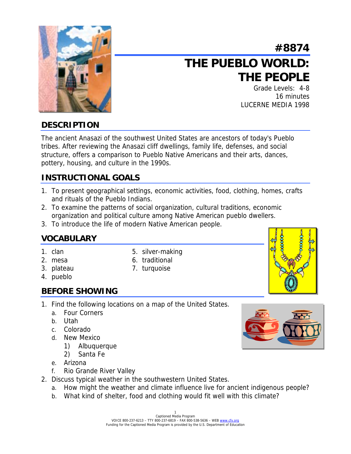

# **#8874 THE PUEBLO WORLD: THE PEOPLE**

Grade Levels: 4-8 16 minutes LUCERNE MEDIA 1998

# **DESCRIPTION**

The ancient Anasazi of the southwest United States are ancestors of today's Pueblo tribes. After reviewing the Anasazi cliff dwellings, family life, defenses, and social structure, offers a comparison to Pueblo Native Americans and their arts, dances, pottery, housing, and culture in the 1990s.

# **INSTRUCTIONAL GOALS**

- 1. To present geographical settings, economic activities, food, clothing, homes, crafts and rituals of the Pueblo Indians.
- 2. To examine the patterns of social organization, cultural traditions, economic organization and political culture among Native American pueblo dwellers.
- 3. To introduce the life of modern Native American people.

# **VOCABULARY**

- 
- 2. mesa 6. traditional
- 1. clan 5. silver-making
- 3. plateau 7. turquoise
- 4. pueblo

# **BEFORE SHOWING**

- 1. Find the following locations on a map of the United States.
	- a. Four Corners
	- b. Utah
	- c. Colorado
	- d. New Mexico
		- 1) Albuquerque
		- 2) Santa Fe
	- e. Arizona
	- f. Rio Grande River Valley
- 2. Discuss typical weather in the southwestern United States.
	- a. How might the weather and climate influence live for ancient indigenous people?
	- b. What kind of shelter, food and clothing would fit well with this climate?

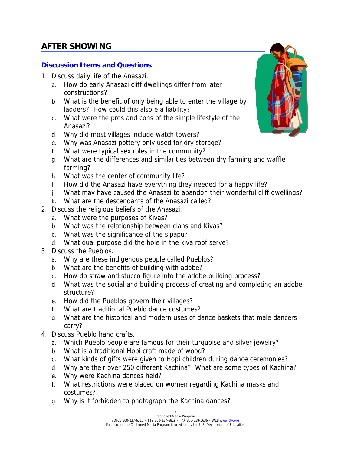# **AFTER SHOWING**

### **Discussion Items and Questions**

- 1. Discuss daily life of the Anasazi.
	- a. How do early Anasazi cliff dwellings differ from later constructions?
	- b. What is the benefit of only being able to enter the village by ladders? How could this also e a liability?
	- c. What were the pros and cons of the simple lifestyle of the Anasazi?
	- d. Why did most villages include watch towers?
	- e. Why was Anasazi pottery only used for dry storage?
	- f. What were typical sex roles in the community?
	- g. What are the differences and similarities between dry farming and waffle farming?
	- h. What was the center of community life?
	- i. How did the Anasazi have everything they needed for a happy life?
	- j. What may have caused the Anasazi to abandon their wonderful cliff dwellings?
	- k. What are the descendants of the Anasazi called?
- 2. Discuss the religious beliefs of the Anasazi.
	- a. What were the purposes of Kivas?
	- b. What was the relationship between clans and Kivas?
	- c. What was the significance of the sipapu?
	- d. What dual purpose did the hole in the kiva roof serve?
- 3. Discuss the Pueblos.
	- a. Why are these indigenous people called Pueblos?
	- b. What are the benefits of building with adobe?
	- c. How do straw and stucco figure into the adobe building process?
	- d. What was the social and building process of creating and completing an adobe structure?
	- e. How did the Pueblos govern their villages?
	- f. What are traditional Pueblo dance costumes?
	- g. What are the historical and modern uses of dance baskets that male dancers carry?
- 4. Discuss Pueblo hand crafts.
	- a. Which Pueblo people are famous for their turquoise and silver jewelry?
	- b. What is a traditional Hopi craft made of wood?
	- c. What kinds of gifts were given to Hopi children during dance ceremonies?
	- d. Why are their over 250 different Kachina? What are some types of Kachina?
	- e. Why were Kachina dances held?
	- f. What restrictions were placed on women regarding Kachina masks and costumes?
	- g. Why is it forbidden to photograph the Kachina dances?

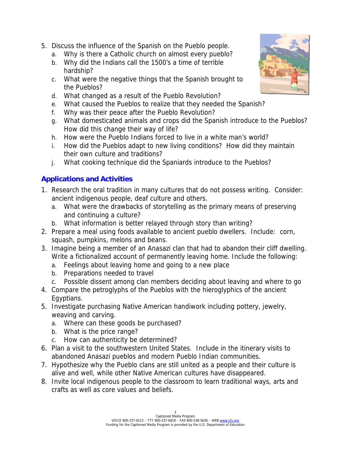- 5. Discuss the influence of the Spanish on the Pueblo people.
	- a. Why is there a Catholic church on almost every pueblo?
	- b. Why did the Indians call the 1500's a time of terrible hardship?
	- c. What were the negative things that the Spanish brought to the Pueblos?
	- d. What changed as a result of the Pueblo Revolution?
	- e. What caused the Pueblos to realize that they needed the Spanish?
	- f. Why was their peace after the Pueblo Revolution?
	- g. What domesticated animals and crops did the Spanish introduce to the Pueblos? How did this change their way of life?
	- h. How were the Pueblo Indians forced to live in a white man's world?
	- i. How did the Pueblos adapt to new living conditions? How did they maintain their own culture and traditions?
	- j. What cooking technique did the Spaniards introduce to the Pueblos?

# **Applications and Activities**

- 1. Research the oral tradition in many cultures that do not possess writing. Consider: ancient indigenous people, deaf culture and others.
	- a. What were the drawbacks of storytelling as the primary means of preserving and continuing a culture?
	- b. What information is better relayed through story than writing?
- 2. Prepare a meal using foods available to ancient pueblo dwellers. Include: corn, squash, pumpkins, melons and beans.
- 3. Imagine being a member of an Anasazi clan that had to abandon their cliff dwelling. Write a fictionalized account of permanently leaving home. Include the following:
	- a. Feelings about leaving home and going to a new place
	- b. Preparations needed to travel
	- c. Possible dissent among clan members deciding about leaving and where to go
- 4. Compare the petroglyphs of the Pueblos with the hieroglyphics of the ancient Egyptians.
- 5. Investigate purchasing Native American handiwork including pottery, jewelry, weaving and carving.
	- a. Where can these goods be purchased?
	- b. What is the price range?
	- c. How can authenticity be determined?
- 6. Plan a visit to the southwestern United States. Include in the itinerary visits to abandoned Anasazi pueblos and modern Pueblo Indian communities.
- 7. Hypothesize why the Pueblo clans are still united as a people and their culture is alive and well, while other Native American cultures have disappeared.
- 8. Invite local indigenous people to the classroom to learn traditional ways, arts and crafts as well as core values and beliefs.